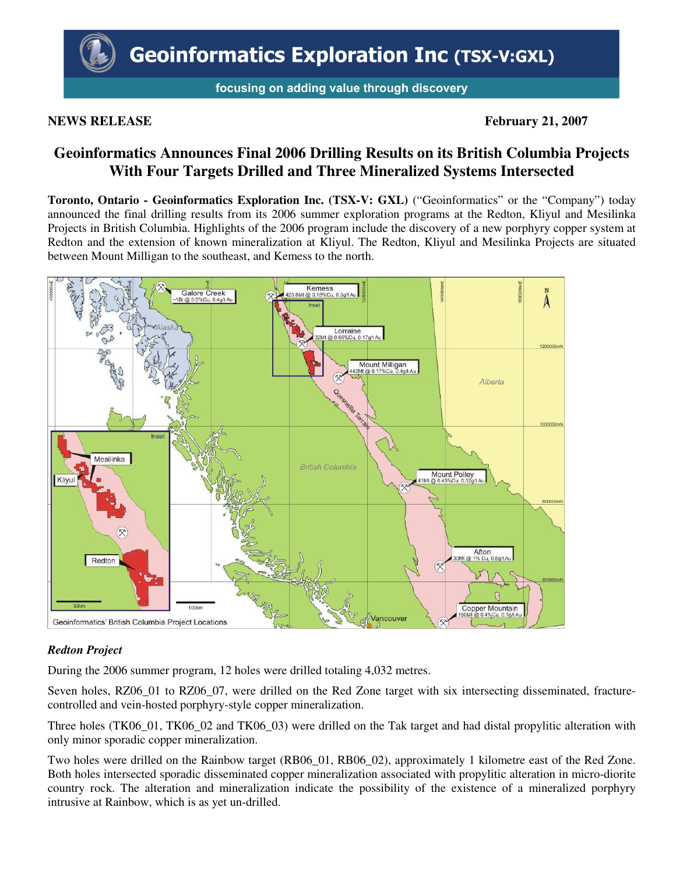focusing on adding value through discovery

# **NEWS RELEASE** February 21, 2007

# **Geoinformatics Announces Final 2006 Drilling Results on its British Columbia Projects With Four Targets Drilled and Three Mineralized Systems Intersected**

**Toronto, Ontario - Geoinformatics Exploration Inc. (TSX-V: GXL)** ("Geoinformatics" or the "Company") today announced the final drilling results from its 2006 summer exploration programs at the Redton, Kliyul and Mesilinka Projects in British Columbia. Highlights of the 2006 program include the discovery of a new porphyry copper system at Redton and the extension of known mineralization at Kliyul. The Redton, Kliyul and Mesilinka Projects are situated between Mount Milligan to the southeast, and Kemess to the north.



# *Redton Project*

During the 2006 summer program, 12 holes were drilled totaling 4,032 metres.

Seven holes, RZ06\_01 to RZ06\_07, were drilled on the Red Zone target with six intersecting disseminated, fracturecontrolled and vein-hosted porphyry-style copper mineralization.

Three holes (TK06\_01, TK06\_02 and TK06\_03) were drilled on the Tak target and had distal propylitic alteration with only minor sporadic copper mineralization.

Two holes were drilled on the Rainbow target (RB06\_01, RB06\_02), approximately 1 kilometre east of the Red Zone. Both holes intersected sporadic disseminated copper mineralization associated with propylitic alteration in micro-diorite country rock. The alteration and mineralization indicate the possibility of the existence of a mineralized porphyry intrusive at Rainbow, which is as yet un-drilled.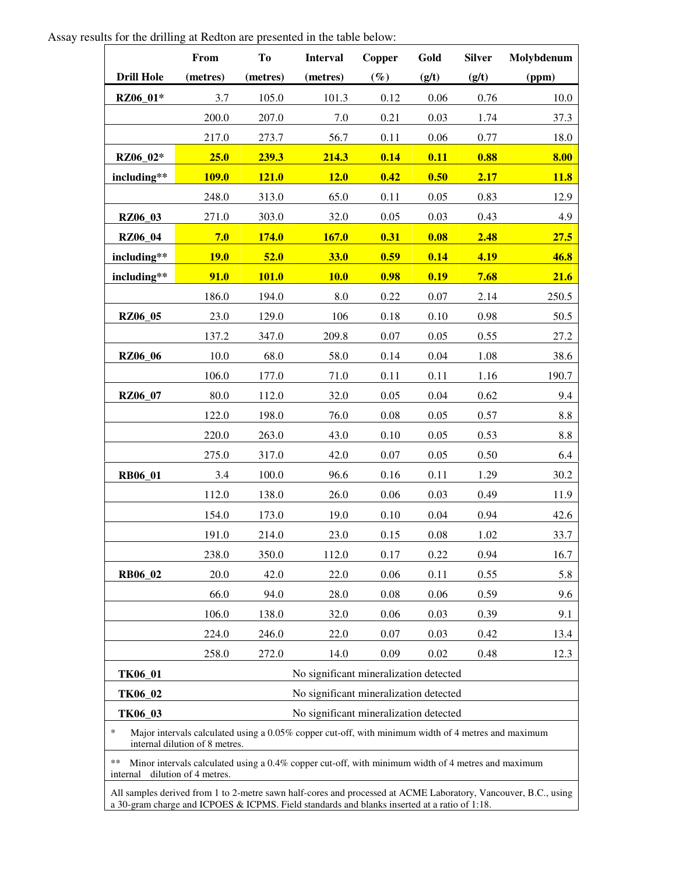Assay results for the drilling at Redton are presented in the table below:

|                                                                                                                                                 | From         | To                                     | <b>Interval</b>                        | <b>Copper</b> | Gold  | <b>Silver</b> | Molybdenum  |  |  |  |  |
|-------------------------------------------------------------------------------------------------------------------------------------------------|--------------|----------------------------------------|----------------------------------------|---------------|-------|---------------|-------------|--|--|--|--|
| <b>Drill Hole</b>                                                                                                                               | (metres)     | (metres)                               | (metres)                               | $(\%)$        | (g/t) | (g/t)         | (ppm)       |  |  |  |  |
| RZ06_01*                                                                                                                                        | 3.7          | 105.0                                  | 101.3                                  | 0.12          | 0.06  | 0.76          | 10.0        |  |  |  |  |
|                                                                                                                                                 | 200.0        | 207.0                                  | 7.0                                    | 0.21          | 0.03  | 1.74          | 37.3        |  |  |  |  |
|                                                                                                                                                 | 217.0        | 273.7                                  | 56.7                                   | 0.11          | 0.06  | 0.77          | 18.0        |  |  |  |  |
| RZ06_02*                                                                                                                                        | 25.0         | 239.3                                  | 214.3                                  | 0.14          | 0.11  | 0.88          | 8.00        |  |  |  |  |
| including**                                                                                                                                     | <b>109.0</b> | <b>121.0</b>                           | 12.0                                   | 0.42          | 0.50  | 2.17          | <b>11.8</b> |  |  |  |  |
|                                                                                                                                                 | 248.0        | 313.0                                  | 65.0                                   | 0.11          | 0.05  | 0.83          | 12.9        |  |  |  |  |
| <b>RZ06_03</b>                                                                                                                                  | 271.0        | 303.0                                  | 32.0                                   | 0.05          | 0.03  | 0.43          | 4.9         |  |  |  |  |
| <b>RZ06_04</b>                                                                                                                                  | 7.0          | <b>174.0</b>                           | <b>167.0</b>                           | 0.31          | 0.08  | 2.48          | 27.5        |  |  |  |  |
| including**                                                                                                                                     | <b>19.0</b>  | 52.0                                   | <b>33.0</b>                            | 0.59          | 0.14  | 4.19          | 46.8        |  |  |  |  |
| including**                                                                                                                                     | 91.0         | <b>101.0</b>                           | <b>10.0</b>                            | 0.98          | 0.19  | 7.68          | 21.6        |  |  |  |  |
|                                                                                                                                                 | 186.0        | 194.0                                  | 8.0                                    | 0.22          | 0.07  | 2.14          | 250.5       |  |  |  |  |
| <b>RZ06_05</b>                                                                                                                                  | 23.0         | 129.0                                  | 106                                    | 0.18          | 0.10  | 0.98          | 50.5        |  |  |  |  |
|                                                                                                                                                 | 137.2        | 347.0                                  | 209.8                                  | 0.07          | 0.05  | 0.55          | 27.2        |  |  |  |  |
| <b>RZ06_06</b>                                                                                                                                  | 10.0         | 68.0                                   | 58.0                                   | 0.14          | 0.04  | 1.08          | 38.6        |  |  |  |  |
|                                                                                                                                                 | 106.0        | 177.0                                  | 71.0                                   | 0.11          | 0.11  | 1.16          | 190.7       |  |  |  |  |
| RZ06_07                                                                                                                                         | 80.0         | 112.0                                  | 32.0                                   | 0.05          | 0.04  | 0.62          | 9.4         |  |  |  |  |
|                                                                                                                                                 | 122.0        | 198.0                                  | 76.0                                   | 0.08          | 0.05  | 0.57          | 8.8         |  |  |  |  |
|                                                                                                                                                 | 220.0        | 263.0                                  | 43.0                                   | 0.10          | 0.05  | 0.53          | 8.8         |  |  |  |  |
|                                                                                                                                                 | 275.0        | 317.0                                  | 42.0                                   | 0.07          | 0.05  | 0.50          | 6.4         |  |  |  |  |
| <b>RB06_01</b>                                                                                                                                  | 3.4          | 100.0                                  | 96.6                                   | 0.16          | 0.11  | 1.29          | 30.2        |  |  |  |  |
|                                                                                                                                                 | 112.0        | 138.0                                  | 26.0                                   | 0.06          | 0.03  | 0.49          | 11.9        |  |  |  |  |
|                                                                                                                                                 | 154.0        | 173.0                                  | 19.0                                   | 0.10          | 0.04  | 0.94          | 42.6        |  |  |  |  |
|                                                                                                                                                 | 191.0        | 214.0                                  | 23.0                                   | 0.15          | 0.08  | 1.02          | 33.7        |  |  |  |  |
|                                                                                                                                                 | 238.0        | 350.0                                  | 112.0                                  | 0.17          | 0.22  | 0.94          | 16.7        |  |  |  |  |
| <b>RB06_02</b>                                                                                                                                  | 20.0         | 42.0                                   | 22.0                                   | 0.06          | 0.11  | 0.55          | 5.8         |  |  |  |  |
|                                                                                                                                                 | 66.0         | 94.0                                   | 28.0                                   | 0.08          | 0.06  | 0.59          | 9.6         |  |  |  |  |
|                                                                                                                                                 | 106.0        | 138.0                                  | 32.0                                   | 0.06          | 0.03  | 0.39          | 9.1         |  |  |  |  |
|                                                                                                                                                 | 224.0        | 246.0                                  | 22.0                                   | 0.07          | 0.03  | 0.42          | 13.4        |  |  |  |  |
|                                                                                                                                                 | 258.0        | 272.0                                  | 14.0                                   | 0.09          | 0.02  | 0.48          | 12.3        |  |  |  |  |
| TK06_01                                                                                                                                         |              |                                        | No significant mineralization detected |               |       |               |             |  |  |  |  |
| TK06_02                                                                                                                                         |              | No significant mineralization detected |                                        |               |       |               |             |  |  |  |  |
| TK06_03                                                                                                                                         |              | No significant mineralization detected |                                        |               |       |               |             |  |  |  |  |
| $\ast$<br>Major intervals calculated using a 0.05% copper cut-off, with minimum width of 4 metres and maximum<br>internal dilution of 8 metres. |              |                                        |                                        |               |       |               |             |  |  |  |  |
| **<br>Minor intervals calculated using a 0.4% copper cut-off, with minimum width of 4 metres and maximum<br>internal<br>dilution of 4 metres.   |              |                                        |                                        |               |       |               |             |  |  |  |  |

All samples derived from 1 to 2-metre sawn half-cores and processed at ACME Laboratory, Vancouver, B.C., using a 30-gram charge and ICPOES & ICPMS. Field standards and blanks inserted at a ratio of 1:18.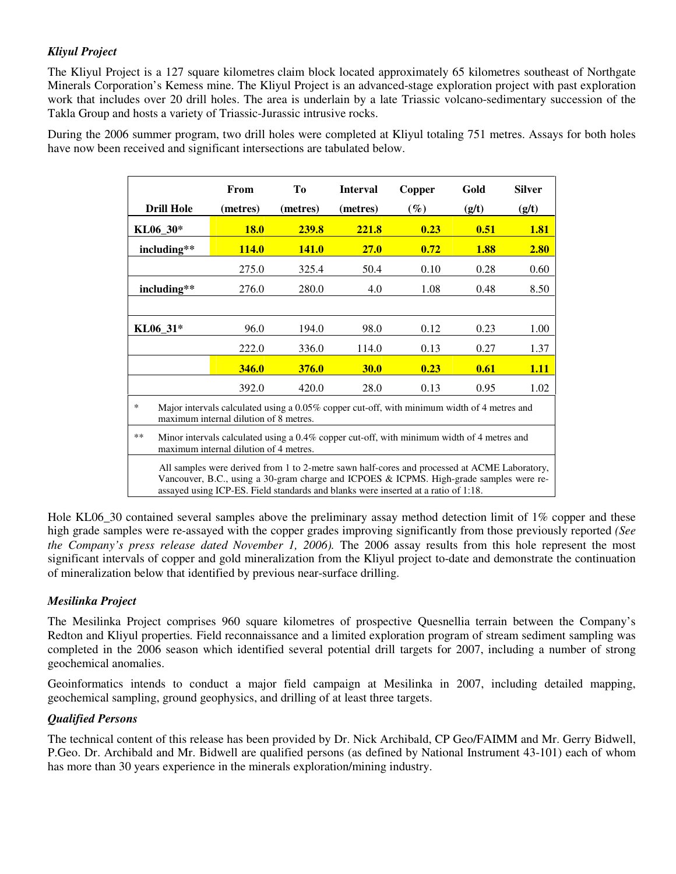# *Kliyul Project*

The Kliyul Project is a 127 square kilometres claim block located approximately 65 kilometres southeast of Northgate Minerals Corporation's Kemess mine. The Kliyul Project is an advanced-stage exploration project with past exploration work that includes over 20 drill holes. The area is underlain by a late Triassic volcano-sedimentary succession of the Takla Group and hosts a variety of Triassic-Jurassic intrusive rocks.

During the 2006 summer program, two drill holes were completed at Kliyul totaling 751 metres. Assays for both holes have now been received and significant intersections are tabulated below.

|                                                                                                                                                                                                                                                                               | From         | Tо           | <b>Interval</b> | Copper | Gold  | <b>Silver</b> |  |  |  |  |
|-------------------------------------------------------------------------------------------------------------------------------------------------------------------------------------------------------------------------------------------------------------------------------|--------------|--------------|-----------------|--------|-------|---------------|--|--|--|--|
| <b>Drill Hole</b>                                                                                                                                                                                                                                                             | (metres)     | (metres)     | (metres)        | $(\%)$ | (g/t) | (g/t)         |  |  |  |  |
| KL06_30*                                                                                                                                                                                                                                                                      | <b>18.0</b>  | <b>239.8</b> | 221.8           | 0.23   | 0.51  | <b>1.81</b>   |  |  |  |  |
| including**                                                                                                                                                                                                                                                                   | <b>114.0</b> | <b>141.0</b> | 27.0            | 0.72   | 1.88  | 2.80          |  |  |  |  |
|                                                                                                                                                                                                                                                                               | 275.0        | 325.4        | 50.4            | 0.10   | 0.28  | 0.60          |  |  |  |  |
| including**                                                                                                                                                                                                                                                                   | 276.0        | 280.0        | 4.0             | 1.08   | 0.48  | 8.50          |  |  |  |  |
|                                                                                                                                                                                                                                                                               |              |              |                 |        |       |               |  |  |  |  |
| KL06 31*                                                                                                                                                                                                                                                                      | 96.0         | 194.0        | 98.0            | 0.12   | 0.23  | 1.00          |  |  |  |  |
|                                                                                                                                                                                                                                                                               | 222.0        | 336.0        | 114.0           | 0.13   | 0.27  | 1.37          |  |  |  |  |
|                                                                                                                                                                                                                                                                               | 346.0        | <b>376.0</b> | <b>30.0</b>     | 0.23   | 0.61  | 1.11          |  |  |  |  |
|                                                                                                                                                                                                                                                                               | 392.0        | 420.0        | 28.0            | 0.13   | 0.95  | 1.02          |  |  |  |  |
| $\ast$<br>Major intervals calculated using a 0.05% copper cut-off, with minimum width of 4 metres and<br>maximum internal dilution of 8 metres.                                                                                                                               |              |              |                 |        |       |               |  |  |  |  |
| $**$<br>Minor intervals calculated using a $0.4\%$ copper cut-off, with minimum width of 4 metres and<br>maximum internal dilution of 4 metres.                                                                                                                               |              |              |                 |        |       |               |  |  |  |  |
| All samples were derived from 1 to 2-metre sawn half-cores and processed at ACME Laboratory,<br>Vancouver, B.C., using a 30-gram charge and ICPOES & ICPMS. High-grade samples were re-<br>assayed using ICP-ES. Field standards and blanks were inserted at a ratio of 1:18. |              |              |                 |        |       |               |  |  |  |  |

Hole KL06 30 contained several samples above the preliminary assay method detection limit of 1% copper and these high grade samples were re-assayed with the copper grades improving significantly from those previously reported *(See the Company's press release dated November 1, 2006).* The 2006 assay results from this hole represent the most significant intervals of copper and gold mineralization from the Kliyul project to-date and demonstrate the continuation of mineralization below that identified by previous near-surface drilling.

### *Mesilinka Project*

The Mesilinka Project comprises 960 square kilometres of prospective Quesnellia terrain between the Company's Redton and Kliyul properties*.* Field reconnaissance and a limited exploration program of stream sediment sampling was completed in the 2006 season which identified several potential drill targets for 2007, including a number of strong geochemical anomalies.

Geoinformatics intends to conduct a major field campaign at Mesilinka in 2007, including detailed mapping, geochemical sampling, ground geophysics, and drilling of at least three targets.

#### *Qualified Persons*

The technical content of this release has been provided by Dr. Nick Archibald, CP Geo/FAIMM and Mr. Gerry Bidwell, P.Geo. Dr. Archibald and Mr. Bidwell are qualified persons (as defined by National Instrument 43-101) each of whom has more than 30 years experience in the minerals exploration/mining industry.